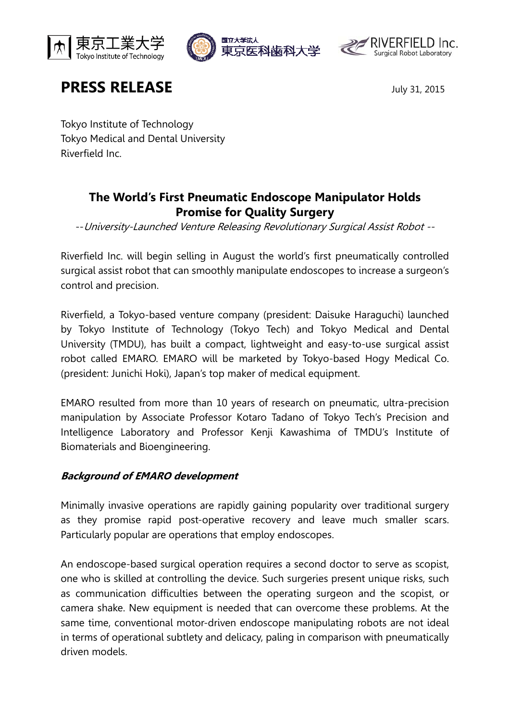





# **PRESS RELEASE** July 31, 2015

Tokyo Institute of Technology Tokyo Medical and Dental University Riverfield Inc.

# **The World's First Pneumatic Endoscope Manipulator Holds Promise for Quality Surgery**

--University-Launched Venture Releasing Revolutionary Surgical Assist Robot --

Riverfield Inc. will begin selling in August the world's first pneumatically controlled surgical assist robot that can smoothly manipulate endoscopes to increase a surgeon's control and precision.

Riverfield, a Tokyo-based venture company (president: Daisuke Haraguchi) launched by Tokyo Institute of Technology (Tokyo Tech) and Tokyo Medical and Dental University (TMDU), has built a compact, lightweight and easy-to-use surgical assist robot called EMARO. EMARO will be marketed by Tokyo-based Hogy Medical Co. (president: Junichi Hoki), Japan's top maker of medical equipment.

EMARO resulted from more than 10 years of research on pneumatic, ultra-precision manipulation by Associate Professor Kotaro Tadano of Tokyo Tech's Precision and Intelligence Laboratory and Professor Kenji Kawashima of TMDU's Institute of Biomaterials and Bioengineering.

## **Background of EMARO development**

Minimally invasive operations are rapidly gaining popularity over traditional surgery as they promise rapid post-operative recovery and leave much smaller scars. Particularly popular are operations that employ endoscopes.

An endoscope-based surgical operation requires a second doctor to serve as scopist, one who is skilled at controlling the device. Such surgeries present unique risks, such as communication difficulties between the operating surgeon and the scopist, or camera shake. New equipment is needed that can overcome these problems. At the same time, conventional motor-driven endoscope manipulating robots are not ideal in terms of operational subtlety and delicacy, paling in comparison with pneumatically driven models.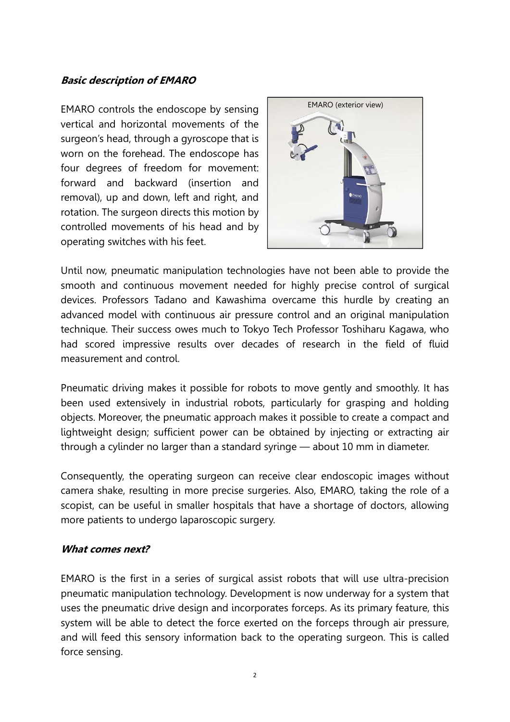#### **Basic description of EMARO**

EMARO controls the endoscope by sensing vertical and horizontal movements of the surgeon's head, through a gyroscope that is worn on the forehead. The endoscope has four degrees of freedom for movement: forward and backward (insertion and removal), up and down, left and right, and rotation. The surgeon directs this motion by controlled movements of his head and by operating switches with his feet.



Until now, pneumatic manipulation technologies have not been able to provide the smooth and continuous movement needed for highly precise control of surgical devices. Professors Tadano and Kawashima overcame this hurdle by creating an advanced model with continuous air pressure control and an original manipulation technique. Their success owes much to Tokyo Tech Professor Toshiharu Kagawa, who had scored impressive results over decades of research in the field of fluid measurement and control.

Pneumatic driving makes it possible for robots to move gently and smoothly. It has been used extensively in industrial robots, particularly for grasping and holding objects. Moreover, the pneumatic approach makes it possible to create a compact and lightweight design; sufficient power can be obtained by injecting or extracting air through a cylinder no larger than a standard syringe — about 10 mm in diameter.

Consequently, the operating surgeon can receive clear endoscopic images without camera shake, resulting in more precise surgeries. Also, EMARO, taking the role of a scopist, can be useful in smaller hospitals that have a shortage of doctors, allowing more patients to undergo laparoscopic surgery.

#### **What comes next?**

EMARO is the first in a series of surgical assist robots that will use ultra-precision pneumatic manipulation technology. Development is now underway for a system that uses the pneumatic drive design and incorporates forceps. As its primary feature, this system will be able to detect the force exerted on the forceps through air pressure, and will feed this sensory information back to the operating surgeon. This is called force sensing.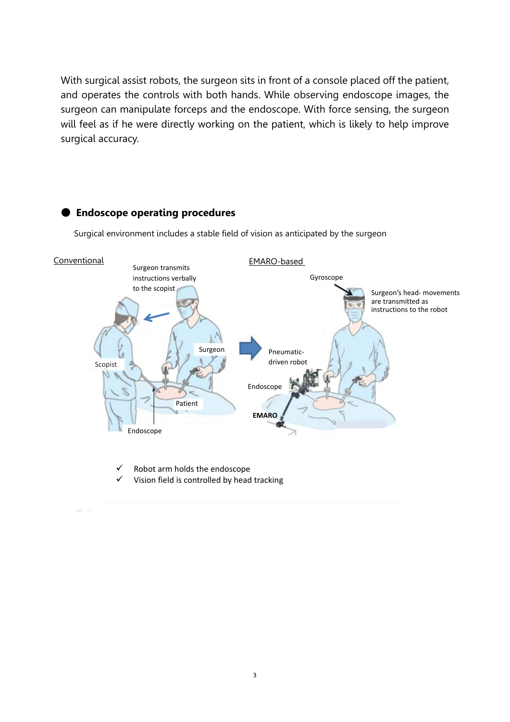With surgical assist robots, the surgeon sits in front of a console placed off the patient, and operates the controls with both hands. While observing endoscope images, the surgeon can manipulate forceps and the endoscope. With force sensing, the surgeon will feel as if he were directly working on the patient, which is likely to help improve surgical accuracy.

## Surgical environment includes a stable field of vision as anticipated by the surgeon Endoscope **Conventional** Gyroscope Surgeon's head‐ movements are transmitted as instructions to the robot Pneumatic‐ driven robot EMARO-based Robot arm holds the endoscope Vision field is controlled by head tracking Surgeon transmits instructions verbally to the scopist Surgeon Patient Scopist Endoscope **EMARO**

#### ● **Endoscope operating procedures**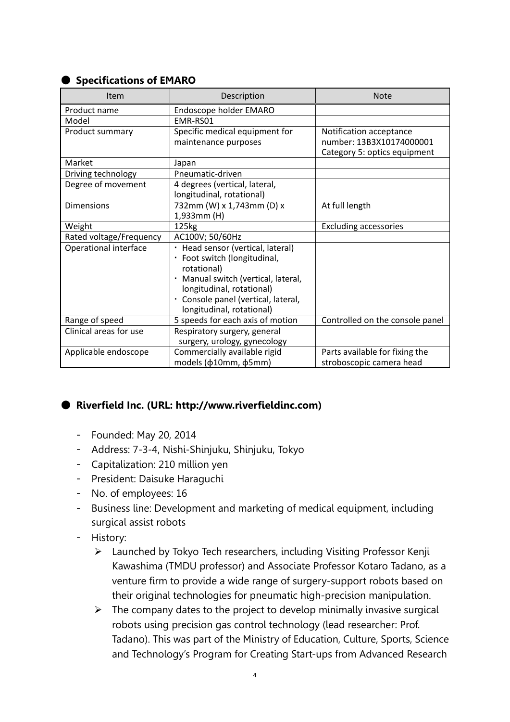### ● **Specifications of EMARO**

| Item                    | Description                         | <b>Note</b>                     |
|-------------------------|-------------------------------------|---------------------------------|
| Product name            | Endoscope holder EMARO              |                                 |
| Model                   | EMR-RS01                            |                                 |
| Product summary         | Specific medical equipment for      | Notification acceptance         |
|                         | maintenance purposes                | number: 13B3X10174000001        |
|                         |                                     | Category 5: optics equipment    |
| Market                  | Japan                               |                                 |
| Driving technology      | Pneumatic-driven                    |                                 |
| Degree of movement      | 4 degrees (vertical, lateral,       |                                 |
|                         | longitudinal, rotational)           |                                 |
| <b>Dimensions</b>       | 732mm (W) x 1,743mm (D) x           | At full length                  |
|                         | 1,933mm (H)                         |                                 |
| Weight                  | 125kg                               | <b>Excluding accessories</b>    |
| Rated voltage/Frequency | AC100V; 50/60Hz                     |                                 |
| Operational interface   | · Head sensor (vertical, lateral)   |                                 |
|                         | · Foot switch (longitudinal,        |                                 |
|                         | rotational)                         |                                 |
|                         | Manual switch (vertical, lateral,   |                                 |
|                         | longitudinal, rotational)           |                                 |
|                         | · Console panel (vertical, lateral, |                                 |
|                         | longitudinal, rotational)           |                                 |
| Range of speed          | 5 speeds for each axis of motion    | Controlled on the console panel |
| Clinical areas for use  | Respiratory surgery, general        |                                 |
|                         | surgery, urology, gynecology        |                                 |
| Applicable endoscope    | Commercially available rigid        | Parts available for fixing the  |
|                         | models (ф10mm, ф5mm)                | stroboscopic camera head        |

## ● **Riverfield Inc. (URL: http://www.riverfieldinc.com)**

- Founded: May 20, 2014
- Address: 7-3-4, Nishi-Shinjuku, Shinjuku, Tokyo
- Capitalization: 210 million yen
- President: Daisuke Haraguchi
- No. of employees: 16
- Business line: Development and marketing of medical equipment, including surgical assist robots
- History:
	- $\triangleright$  Launched by Tokyo Tech researchers, including Visiting Professor Kenji Kawashima (TMDU professor) and Associate Professor Kotaro Tadano, as a venture firm to provide a wide range of surgery-support robots based on their original technologies for pneumatic high-precision manipulation.
	- $\triangleright$  The company dates to the project to develop minimally invasive surgical robots using precision gas control technology (lead researcher: Prof. Tadano). This was part of the Ministry of Education, Culture, Sports, Science and Technology's Program for Creating Start-ups from Advanced Research